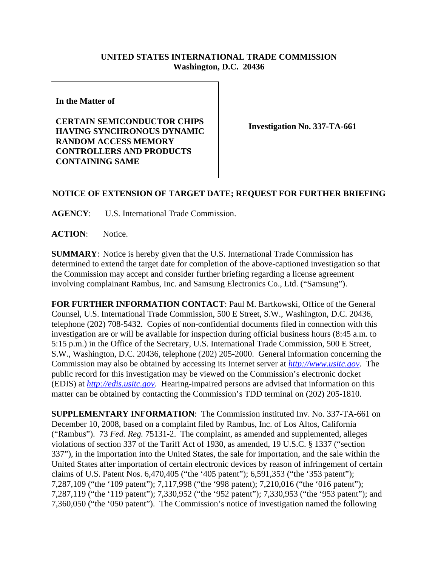## **UNITED STATES INTERNATIONAL TRADE COMMISSION Washington, D.C. 20436**

**In the Matter of** 

**CERTAIN SEMICONDUCTOR CHIPS HAVING SYNCHRONOUS DYNAMIC RANDOM ACCESS MEMORY CONTROLLERS AND PRODUCTS CONTAINING SAME**

**Investigation No. 337-TA-661**

## **NOTICE OF EXTENSION OF TARGET DATE; REQUEST FOR FURTHER BRIEFING**

**AGENCY**: U.S. International Trade Commission.

ACTION: Notice.

**SUMMARY**: Notice is hereby given that the U.S. International Trade Commission has determined to extend the target date for completion of the above-captioned investigation so that the Commission may accept and consider further briefing regarding a license agreement involving complainant Rambus, Inc. and Samsung Electronics Co., Ltd. ("Samsung").

**FOR FURTHER INFORMATION CONTACT**: Paul M. Bartkowski, Office of the General Counsel, U.S. International Trade Commission, 500 E Street, S.W., Washington, D.C. 20436, telephone (202) 708-5432. Copies of non-confidential documents filed in connection with this investigation are or will be available for inspection during official business hours (8:45 a.m. to 5:15 p.m.) in the Office of the Secretary, U.S. International Trade Commission, 500 E Street, S.W., Washington, D.C. 20436, telephone (202) 205-2000. General information concerning the Commission may also be obtained by accessing its Internet server at *http://www.usitc.gov*. The public record for this investigation may be viewed on the Commission's electronic docket (EDIS) at *http://edis.usitc.gov*. Hearing-impaired persons are advised that information on this matter can be obtained by contacting the Commission's TDD terminal on (202) 205-1810.

**SUPPLEMENTARY INFORMATION**: The Commission instituted Inv. No. 337-TA-661 on December 10, 2008, based on a complaint filed by Rambus, Inc. of Los Altos, California ("Rambus"). 73 *Fed. Reg.* 75131-2. The complaint, as amended and supplemented, alleges violations of section 337 of the Tariff Act of 1930, as amended, 19 U.S.C. § 1337 ("section 337"), in the importation into the United States, the sale for importation, and the sale within the United States after importation of certain electronic devices by reason of infringement of certain claims of U.S. Patent Nos. 6,470,405 ("the '405 patent"); 6,591,353 ("the '353 patent"); 7,287,109 ("the '109 patent"); 7,117,998 ("the '998 patent); 7,210,016 ("the '016 patent"); 7,287,119 ("the '119 patent"); 7,330,952 ("the '952 patent"); 7,330,953 ("the '953 patent"); and 7,360,050 ("the '050 patent"). The Commission's notice of investigation named the following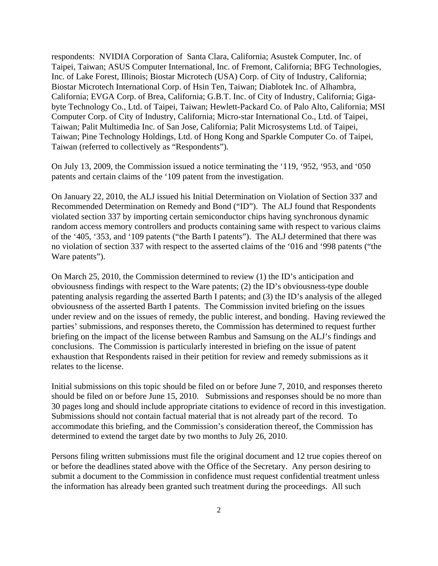respondents: NVIDIA Corporation of Santa Clara, California; Asustek Computer, Inc. of Taipei, Taiwan; ASUS Computer International, Inc. of Fremont, California; BFG Technologies, Inc. of Lake Forest, Illinois; Biostar Microtech (USA) Corp. of City of Industry, California; Biostar Microtech International Corp. of Hsin Ten, Taiwan; Diablotek Inc. of Alhambra, California; EVGA Corp. of Brea, California; G.B.T. Inc. of City of Industry, California; Gigabyte Technology Co., Ltd. of Taipei, Taiwan; Hewlett-Packard Co. of Palo Alto, California; MSI Computer Corp. of City of Industry, California; Micro-star International Co., Ltd. of Taipei, Taiwan; Palit Multimedia Inc. of San Jose, California; Palit Microsystems Ltd. of Taipei, Taiwan; Pine Technology Holdings, Ltd. of Hong Kong and Sparkle Computer Co. of Taipei, Taiwan (referred to collectively as "Respondents").

On July 13, 2009, the Commission issued a notice terminating the '119, '952, '953, and '050 patents and certain claims of the '109 patent from the investigation.

On January 22, 2010, the ALJ issued his Initial Determination on Violation of Section 337 and Recommended Determination on Remedy and Bond ("ID"). The ALJ found that Respondents violated section 337 by importing certain semiconductor chips having synchronous dynamic random access memory controllers and products containing same with respect to various claims of the '405, '353, and '109 patents ("the Barth I patents"). The ALJ determined that there was no violation of section 337 with respect to the asserted claims of the '016 and '998 patents ("the Ware patents").

On March 25, 2010, the Commission determined to review (1) the ID's anticipation and obviousness findings with respect to the Ware patents; (2) the ID's obviousness-type double patenting analysis regarding the asserted Barth I patents; and (3) the ID's analysis of the alleged obviousness of the asserted Barth I patents. The Commission invited briefing on the issues under review and on the issues of remedy, the public interest, and bonding. Having reviewed the parties' submissions, and responses thereto, the Commission has determined to request further briefing on the impact of the license between Rambus and Samsung on the ALJ's findings and conclusions. The Commission is particularly interested in briefing on the issue of patent exhaustion that Respondents raised in their petition for review and remedy submissions as it relates to the license.

Initial submissions on this topic should be filed on or before June 7, 2010, and responses thereto should be filed on or before June 15, 2010. Submissions and responses should be no more than 30 pages long and should include appropriate citations to evidence of record in this investigation. Submissions should not contain factual material that is not already part of the record. To accommodate this briefing, and the Commission's consideration thereof, the Commission has determined to extend the target date by two months to July 26, 2010.

Persons filing written submissions must file the original document and 12 true copies thereof on or before the deadlines stated above with the Office of the Secretary. Any person desiring to submit a document to the Commission in confidence must request confidential treatment unless the information has already been granted such treatment during the proceedings. All such